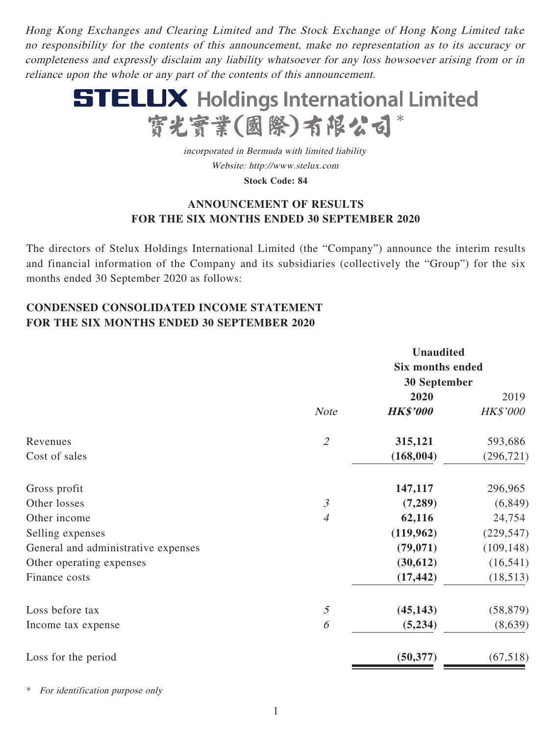Hong Kong Exchanges and Clearing Limited and The Stock Exchange of Hong Kong Limited take no responsibility for the contents of this announcement, make no representation as to its accuracy or completeness and expressly disclaim any liability whatsoever for any loss howsoever arising from or in reliance upon the whole or any part of the contents of this announcement.



incorporated in Bermuda with limited liability Website: http://www.stelux.com

**Stock Code: 84**

# **ANNOUNCEMENT OF RESULTS FOR THE SIX MONTHS ENDED 30 SEPTEMBER 2020**

The directors of Stelux Holdings International Limited (the "Company") announce the interim results and financial information of the Company and its subsidiaries (collectively the "Group") for the six months ended 30 September 2020 as follows:

# **CONDENSED CONSOLIDATED INCOME STATEMENT FOR THE SIX MONTHS ENDED 30 SEPTEMBER 2020**

|                                     |                | <b>Unaudited</b>        |            |  |
|-------------------------------------|----------------|-------------------------|------------|--|
|                                     |                | <b>Six months ended</b> |            |  |
|                                     |                | <b>30 September</b>     |            |  |
|                                     |                | 2020                    | 2019       |  |
|                                     | <b>Note</b>    | <b>HK\$'000</b>         | HK\$'000   |  |
| Revenues                            | $\mathcal{Z}$  | 315,121                 | 593,686    |  |
| Cost of sales                       |                | (168, 004)              | (296, 721) |  |
| Gross profit                        |                | 147,117                 | 296,965    |  |
| Other losses                        | $\mathfrak{Z}$ | (7,289)                 | (6, 849)   |  |
| Other income                        | $\overline{4}$ | 62,116                  | 24,754     |  |
| Selling expenses                    |                | (119,962)               | (229, 547) |  |
| General and administrative expenses |                | (79, 071)               | (109, 148) |  |
| Other operating expenses            |                | (30,612)                | (16, 541)  |  |
| Finance costs                       |                | (17, 442)               | (18,513)   |  |
| Loss before tax                     | $\mathfrak{H}$ | (45, 143)               | (58, 879)  |  |
| Income tax expense                  | 6              | (5,234)                 | (8,639)    |  |
| Loss for the period                 |                | (50, 377)               | (67,518)   |  |

For identification purpose only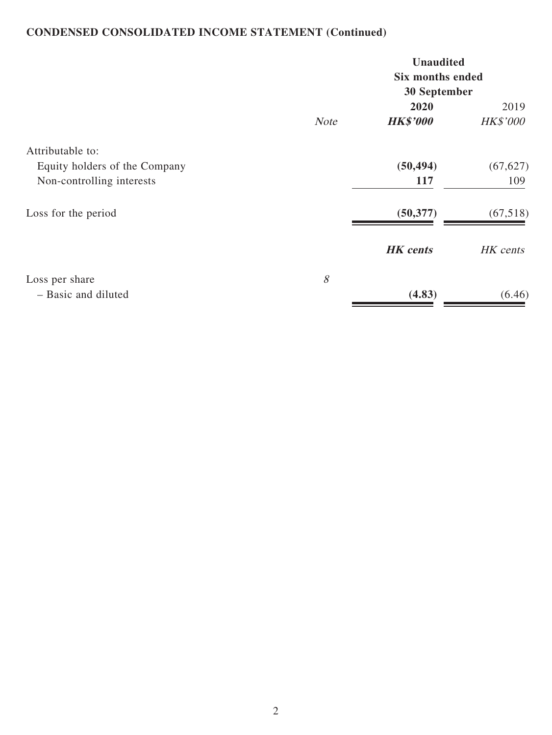# **CONDENSED CONSOLIDATED INCOME STATEMENT (Continued)**

|                               |             | <b>Unaudited</b><br><b>Six months ended</b><br>30 September |                 |  |
|-------------------------------|-------------|-------------------------------------------------------------|-----------------|--|
|                               |             | 2020                                                        | 2019            |  |
|                               | <b>Note</b> | <b>HK\$'000</b>                                             | <b>HK\$'000</b> |  |
| Attributable to:              |             |                                                             |                 |  |
| Equity holders of the Company |             | (50, 494)                                                   | (67, 627)       |  |
| Non-controlling interests     |             | 117                                                         | 109             |  |
| Loss for the period           |             | (50, 377)                                                   | (67,518)        |  |
|                               |             | <b>HK</b> cents                                             | HK cents        |  |
| Loss per share                | 8           |                                                             |                 |  |
| - Basic and diluted           |             | (4.83)                                                      | (6.46)          |  |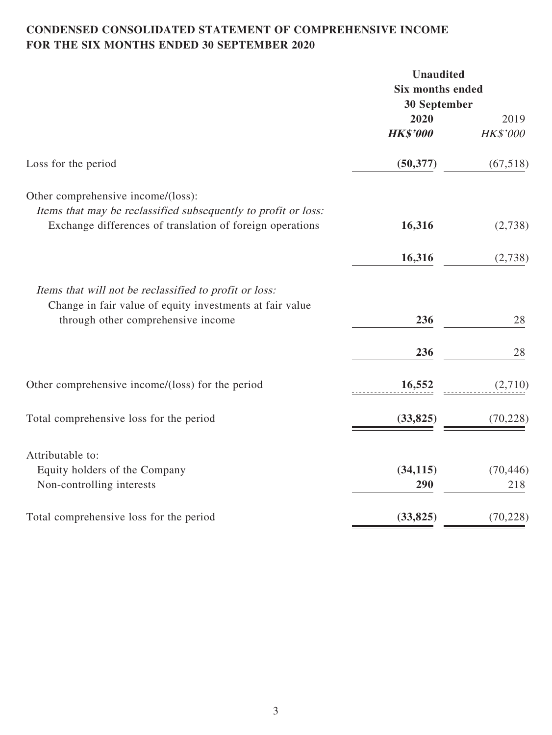# **CONDENSED CONSOLIDATED STATEMENT OF COMPREHENSIVE INCOME FOR THE SIX MONTHS ENDED 30 SEPTEMBER 2020**

|                                                                                                                                                          | <b>Unaudited</b>        |           |
|----------------------------------------------------------------------------------------------------------------------------------------------------------|-------------------------|-----------|
|                                                                                                                                                          | <b>Six months ended</b> |           |
|                                                                                                                                                          | <b>30 September</b>     |           |
|                                                                                                                                                          | 2020                    | 2019      |
|                                                                                                                                                          | <b>HK\$'000</b>         | HK\$'000  |
| Loss for the period                                                                                                                                      | (50, 377)               | (67,518)  |
| Other comprehensive income/(loss):                                                                                                                       |                         |           |
| Items that may be reclassified subsequently to profit or loss:                                                                                           |                         |           |
| Exchange differences of translation of foreign operations                                                                                                | 16,316                  | (2,738)   |
|                                                                                                                                                          | 16,316                  | (2,738)   |
| Items that will not be reclassified to profit or loss:<br>Change in fair value of equity investments at fair value<br>through other comprehensive income | 236                     | 28        |
|                                                                                                                                                          | 236                     | 28        |
| Other comprehensive income/(loss) for the period                                                                                                         | 16,552                  | (2,710)   |
| Total comprehensive loss for the period                                                                                                                  | (33, 825)               | (70, 228) |
| Attributable to:                                                                                                                                         |                         |           |
| Equity holders of the Company                                                                                                                            | (34, 115)               | (70, 446) |
| Non-controlling interests                                                                                                                                | 290                     | 218       |
| Total comprehensive loss for the period                                                                                                                  | (33, 825)               | (70, 228) |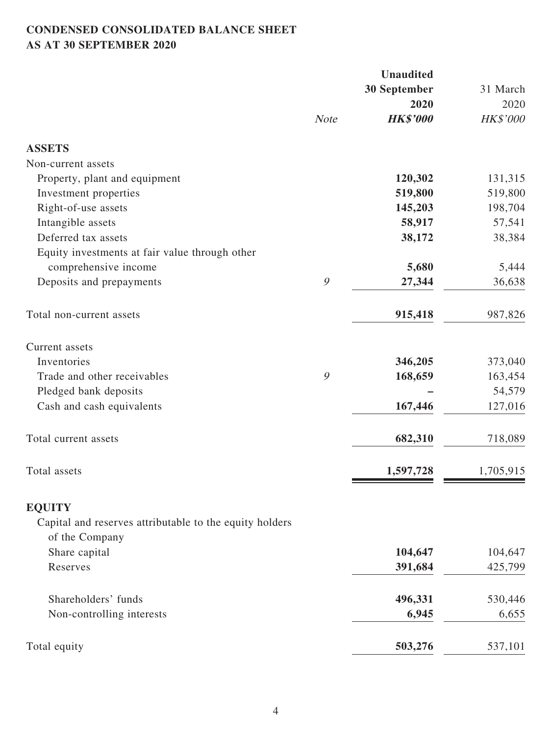# **CONDENSED CONSOLIDATED BALANCE SHEET AS AT 30 SEPTEMBER 2020**

|                                                                           |             | <b>Unaudited</b> |           |
|---------------------------------------------------------------------------|-------------|------------------|-----------|
|                                                                           |             | 30 September     | 31 March  |
|                                                                           |             | 2020             | 2020      |
|                                                                           | <b>Note</b> | <b>HK\$'000</b>  | HK\$'000  |
| <b>ASSETS</b>                                                             |             |                  |           |
| Non-current assets                                                        |             |                  |           |
| Property, plant and equipment                                             |             | 120,302          | 131,315   |
| Investment properties                                                     |             | 519,800          | 519,800   |
| Right-of-use assets                                                       |             | 145,203          | 198,704   |
| Intangible assets                                                         |             | 58,917           | 57,541    |
| Deferred tax assets                                                       |             | 38,172           | 38,384    |
| Equity investments at fair value through other                            |             |                  |           |
| comprehensive income                                                      |             | 5,680            | 5,444     |
| Deposits and prepayments                                                  | 9           | 27,344           | 36,638    |
| Total non-current assets                                                  |             | 915,418          | 987,826   |
| Current assets                                                            |             |                  |           |
| Inventories                                                               |             | 346,205          | 373,040   |
| Trade and other receivables                                               | 9           | 168,659          | 163,454   |
| Pledged bank deposits                                                     |             |                  | 54,579    |
| Cash and cash equivalents                                                 |             | 167,446          | 127,016   |
| Total current assets                                                      |             | 682,310          | 718,089   |
| Total assets                                                              |             | 1,597,728        | 1,705,915 |
| <b>EQUITY</b>                                                             |             |                  |           |
| Capital and reserves attributable to the equity holders<br>of the Company |             |                  |           |
| Share capital                                                             |             | 104,647          | 104,647   |
| Reserves                                                                  |             | 391,684          | 425,799   |
| Shareholders' funds                                                       |             | 496,331          | 530,446   |
| Non-controlling interests                                                 |             | 6,945            | 6,655     |
| Total equity                                                              |             | 503,276          | 537,101   |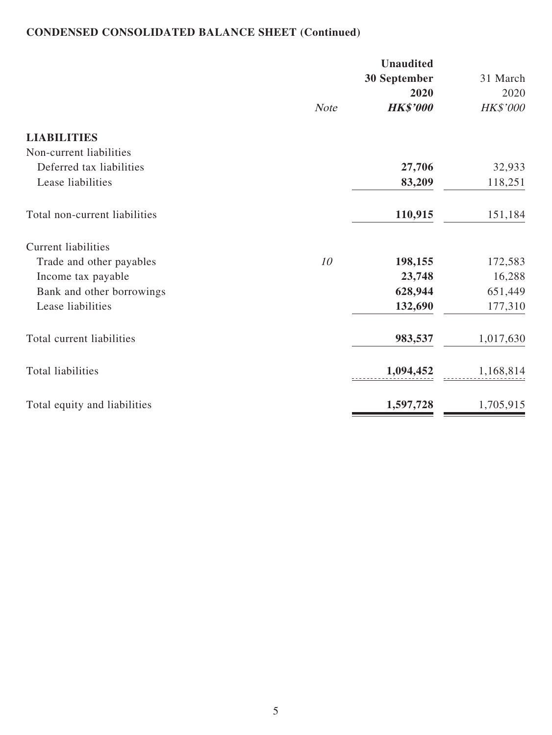# **CONDENSED CONSOLIDATED BALANCE SHEET (Continued)**

|                               |             | <b>Unaudited</b><br>30 September | 31 March         |
|-------------------------------|-------------|----------------------------------|------------------|
|                               | <b>Note</b> | 2020<br><b>HK\$'000</b>          | 2020<br>HK\$'000 |
| <b>LIABILITIES</b>            |             |                                  |                  |
| Non-current liabilities       |             |                                  |                  |
| Deferred tax liabilities      |             | 27,706                           | 32,933           |
| Lease liabilities             |             | 83,209                           | 118,251          |
| Total non-current liabilities |             | 110,915                          | 151,184          |
| <b>Current liabilities</b>    |             |                                  |                  |
| Trade and other payables      | 10          | 198,155                          | 172,583          |
| Income tax payable            |             | 23,748                           | 16,288           |
| Bank and other borrowings     |             | 628,944                          | 651,449          |
| Lease liabilities             |             | 132,690                          | 177,310          |
| Total current liabilities     |             | 983,537                          | 1,017,630        |
| <b>Total liabilities</b>      |             | 1,094,452                        | 1,168,814        |
| Total equity and liabilities  |             | 1,597,728                        | 1,705,915        |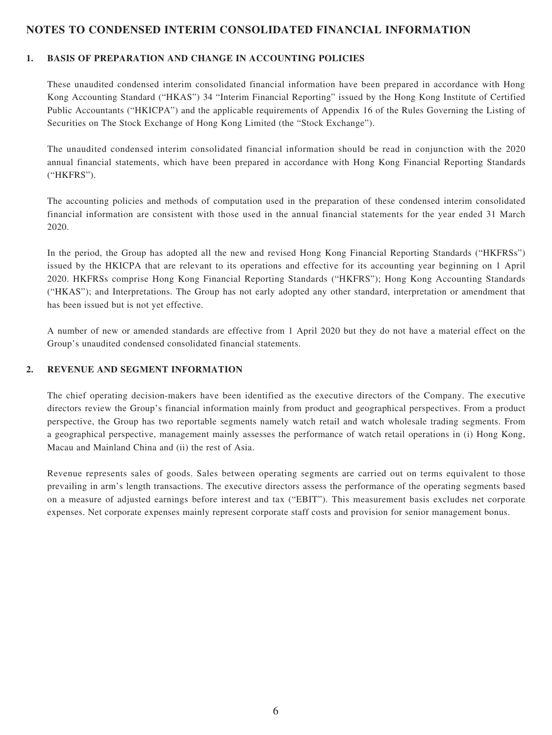### **NOTES TO CONDENSED INTERIM CONSOLIDATED FINANCIAL INFORMATION**

#### **1. BASIS OF PREPARATION AND CHANGE IN ACCOUNTING POLICIES**

These unaudited condensed interim consolidated financial information have been prepared in accordance with Hong Kong Accounting Standard ("HKAS") 34 "Interim Financial Reporting" issued by the Hong Kong Institute of Certified Public Accountants ("HKICPA") and the applicable requirements of Appendix 16 of the Rules Governing the Listing of Securities on The Stock Exchange of Hong Kong Limited (the "Stock Exchange").

The unaudited condensed interim consolidated financial information should be read in conjunction with the 2020 annual financial statements, which have been prepared in accordance with Hong Kong Financial Reporting Standards ("HKFRS").

The accounting policies and methods of computation used in the preparation of these condensed interim consolidated financial information are consistent with those used in the annual financial statements for the year ended 31 March 2020.

In the period, the Group has adopted all the new and revised Hong Kong Financial Reporting Standards ("HKFRSs") issued by the HKICPA that are relevant to its operations and effective for its accounting year beginning on 1 April 2020. HKFRSs comprise Hong Kong Financial Reporting Standards ("HKFRS"); Hong Kong Accounting Standards ("HKAS"); and Interpretations. The Group has not early adopted any other standard, interpretation or amendment that has been issued but is not yet effective.

A number of new or amended standards are effective from 1 April 2020 but they do not have a material effect on the Group's unaudited condensed consolidated financial statements.

#### **2. REVENUE AND SEGMENT INFORMATION**

The chief operating decision-makers have been identified as the executive directors of the Company. The executive directors review the Group's financial information mainly from product and geographical perspectives. From a product perspective, the Group has two reportable segments namely watch retail and watch wholesale trading segments. From a geographical perspective, management mainly assesses the performance of watch retail operations in (i) Hong Kong, Macau and Mainland China and (ii) the rest of Asia.

Revenue represents sales of goods. Sales between operating segments are carried out on terms equivalent to those prevailing in arm's length transactions. The executive directors assess the performance of the operating segments based on a measure of adjusted earnings before interest and tax ("EBIT"). This measurement basis excludes net corporate expenses. Net corporate expenses mainly represent corporate staff costs and provision for senior management bonus.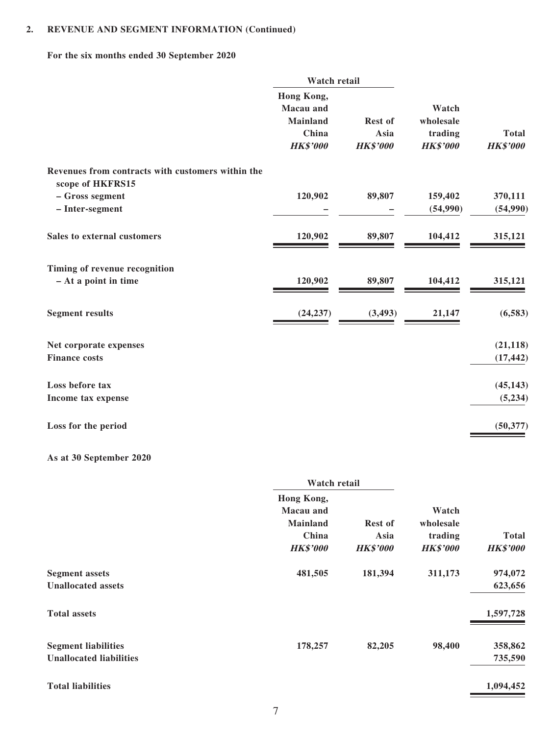## **2. REVENUE AND SEGMENT INFORMATION (Continued)**

## **For the six months ended 30 September 2020**

|                                                                       | Watch retail                                                                  |                                           |                                                  |                                 |
|-----------------------------------------------------------------------|-------------------------------------------------------------------------------|-------------------------------------------|--------------------------------------------------|---------------------------------|
|                                                                       | Hong Kong,<br><b>Macau</b> and<br><b>Mainland</b><br>China<br><b>HK\$'000</b> | <b>Rest of</b><br>Asia<br><b>HK\$'000</b> | Watch<br>wholesale<br>trading<br><b>HK\$'000</b> | <b>Total</b><br><b>HK\$'000</b> |
| Revenues from contracts with customers within the<br>scope of HKFRS15 |                                                                               |                                           |                                                  |                                 |
| - Gross segment                                                       | 120,902                                                                       | 89,807                                    | 159,402                                          | 370,111                         |
| - Inter-segment                                                       |                                                                               |                                           | (54,990)                                         | (54,990)                        |
| Sales to external customers                                           | 120,902                                                                       | 89,807                                    | 104,412                                          | 315,121                         |
| Timing of revenue recognition                                         |                                                                               |                                           |                                                  |                                 |
| - At a point in time                                                  | 120,902                                                                       | 89,807                                    | 104,412                                          | 315,121                         |
| <b>Segment results</b>                                                | (24, 237)                                                                     | (3, 493)                                  | 21,147                                           | (6, 583)                        |
| Net corporate expenses                                                |                                                                               |                                           |                                                  | (21, 118)                       |
| <b>Finance costs</b>                                                  |                                                                               |                                           |                                                  | (17, 442)                       |
| Loss before tax                                                       |                                                                               |                                           |                                                  | (45, 143)                       |
| Income tax expense                                                    |                                                                               |                                           |                                                  | (5,234)                         |
| Loss for the period                                                   |                                                                               |                                           |                                                  | (50, 377)                       |
| As at 30 September 2020                                               |                                                                               |                                           |                                                  |                                 |

| Watch retail     |                 |                 |                 |
|------------------|-----------------|-----------------|-----------------|
| Hong Kong,       |                 |                 |                 |
| <b>Macau</b> and |                 | Watch           |                 |
| <b>Mainland</b>  | <b>Rest of</b>  | wholesale       |                 |
| China            | Asia            | trading         | <b>Total</b>    |
| <b>HK\$'000</b>  | <b>HK\$'000</b> | <b>HK\$'000</b> | <b>HK\$'000</b> |
| 481,505          | 181,394         | 311,173         | 974,072         |
|                  |                 |                 | 623,656         |
|                  |                 |                 | 1,597,728       |
| 178,257          | 82,205          | 98,400          | 358,862         |
|                  |                 |                 | 735,590         |
|                  |                 |                 | 1,094,452       |
|                  |                 |                 |                 |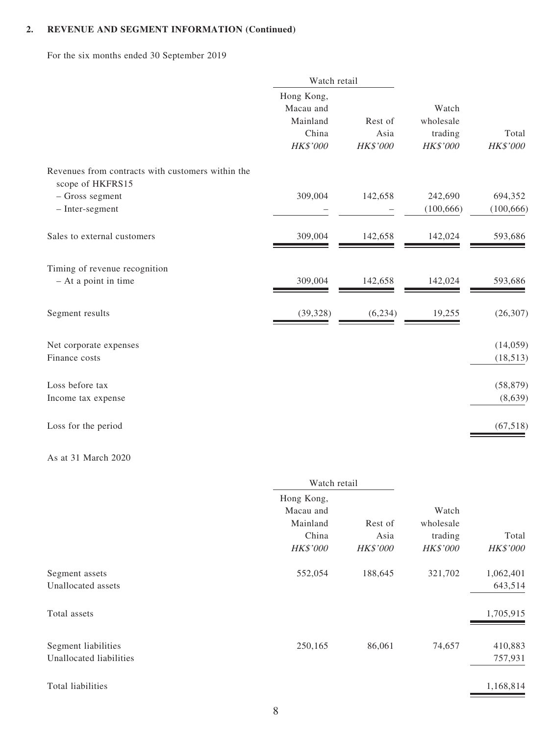### **2. REVENUE AND SEGMENT INFORMATION (Continued)**

For the six months ended 30 September 2019

|                                                                       | Watch retail                                             |                             |                                           |                       |  |
|-----------------------------------------------------------------------|----------------------------------------------------------|-----------------------------|-------------------------------------------|-----------------------|--|
|                                                                       | Hong Kong,<br>Macau and<br>Mainland<br>China<br>HK\$'000 | Rest of<br>Asia<br>HK\$'000 | Watch<br>wholesale<br>trading<br>HK\$'000 | Total<br>HK\$'000     |  |
| Revenues from contracts with customers within the<br>scope of HKFRS15 |                                                          |                             |                                           |                       |  |
| - Gross segment<br>- Inter-segment                                    | 309,004                                                  | 142,658                     | 242,690<br>(100, 666)                     | 694,352<br>(100, 666) |  |
| Sales to external customers                                           | 309,004                                                  | 142,658                     | 142,024                                   | 593,686               |  |
| Timing of revenue recognition<br>- At a point in time                 | 309,004                                                  | 142,658                     | 142,024                                   | 593,686               |  |
| Segment results                                                       | (39, 328)                                                | (6,234)                     | 19,255                                    | (26, 307)             |  |
| Net corporate expenses<br>Finance costs                               |                                                          |                             |                                           | (14,059)<br>(18, 513) |  |
| Loss before tax<br>Income tax expense                                 |                                                          |                             |                                           | (58, 879)<br>(8,639)  |  |
| Loss for the period                                                   |                                                          |                             |                                           | (67, 518)             |  |

#### As at 31 March 2020

|                                                | Watch retail                        |                  |                            |                      |  |
|------------------------------------------------|-------------------------------------|------------------|----------------------------|----------------------|--|
|                                                | Hong Kong,<br>Macau and<br>Mainland |                  | Rest of                    | Watch<br>wholesale   |  |
|                                                | China<br>HK\$'000                   | Asia<br>HK\$'000 | trading<br><b>HK\$'000</b> | Total<br>HK\$'000    |  |
| Segment assets<br>Unallocated assets           | 552,054                             | 188,645          | 321,702                    | 1,062,401<br>643,514 |  |
| Total assets                                   |                                     |                  |                            | 1,705,915            |  |
| Segment liabilities<br>Unallocated liabilities | 250,165                             | 86,061           | 74,657                     | 410,883<br>757,931   |  |
| Total liabilities                              |                                     |                  |                            | 1,168,814            |  |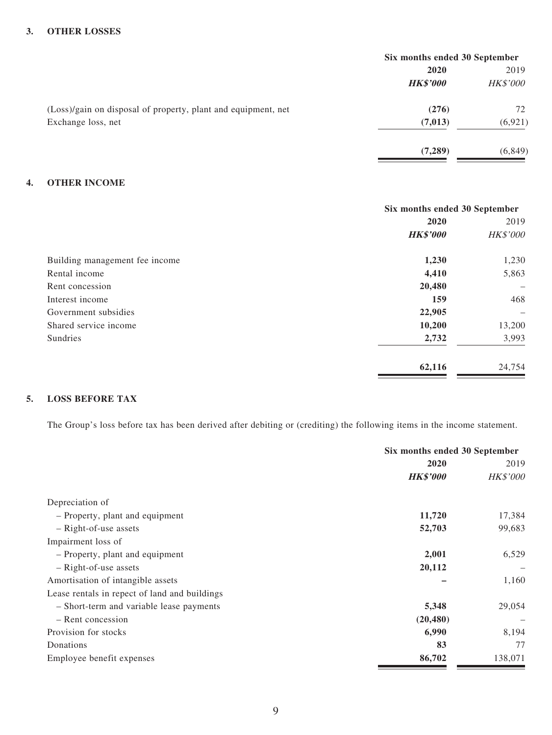#### **3. OTHER LOSSES**

|                                                               | Six months ended 30 September |                 |  |
|---------------------------------------------------------------|-------------------------------|-----------------|--|
|                                                               | 2020                          | 2019            |  |
|                                                               | <b>HK\$'000</b>               | <b>HK\$'000</b> |  |
| (Loss)/gain on disposal of property, plant and equipment, net | (276)                         | 72              |  |
| Exchange loss, net                                            | (7, 013)                      | (6, 921)        |  |
|                                                               | (7,289)                       | (6, 849)        |  |

#### **4. OTHER INCOME**

|                                | Six months ended 30 September |                                                                           |  |
|--------------------------------|-------------------------------|---------------------------------------------------------------------------|--|
|                                | 2020                          |                                                                           |  |
|                                | <b>HK\$'000</b>               | HK\$'000                                                                  |  |
| Building management fee income | 1,230                         | 1,230                                                                     |  |
| Rental income                  | 4,410                         | 5,863                                                                     |  |
| Rent concession                | 20,480                        | $\hspace{1.0cm} \rule{1.5cm}{0.15cm} \hspace{1.0cm} \rule{1.5cm}{0.15cm}$ |  |
| Interest income                | 159                           | 468                                                                       |  |
| Government subsidies           | 22,905                        | $\overline{\phantom{m}}$                                                  |  |
| Shared service income          | 10,200                        | 13,200                                                                    |  |
| <b>Sundries</b>                | 2,732                         | 3,993                                                                     |  |
|                                | 62,116                        | 24,754                                                                    |  |

### **5. LOSS BEFORE TAX**

The Group's loss before tax has been derived after debiting or (crediting) the following items in the income statement.

|                                               | Six months ended 30 September |                 |  |
|-----------------------------------------------|-------------------------------|-----------------|--|
|                                               | 2020                          |                 |  |
|                                               | <b>HK\$'000</b>               | <b>HK\$'000</b> |  |
| Depreciation of                               |                               |                 |  |
| - Property, plant and equipment               | 11,720                        | 17,384          |  |
| - Right-of-use assets                         | 52,703                        | 99,683          |  |
| Impairment loss of                            |                               |                 |  |
| - Property, plant and equipment               | 2,001                         | 6,529           |  |
| - Right-of-use assets                         | 20,112                        |                 |  |
| Amortisation of intangible assets             |                               | 1,160           |  |
| Lease rentals in repect of land and buildings |                               |                 |  |
| - Short-term and variable lease payments      | 5,348                         | 29,054          |  |
| - Rent concession                             | (20, 480)                     |                 |  |
| Provision for stocks                          | 6,990                         | 8,194           |  |
| Donations                                     | 83                            | 77              |  |
| Employee benefit expenses                     | 86,702                        | 138,071         |  |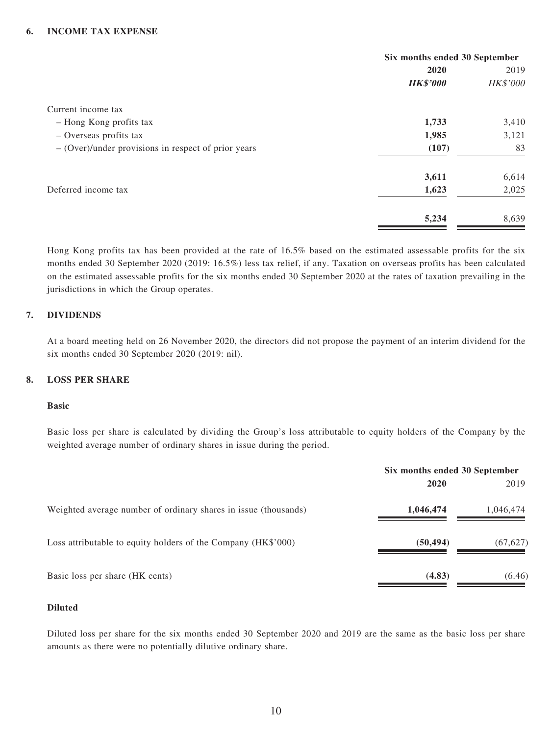#### **6. INCOME TAX EXPENSE**

|                                                       | Six months ended 30 September |          |
|-------------------------------------------------------|-------------------------------|----------|
|                                                       | 2020                          | 2019     |
|                                                       | <b>HK\$'000</b>               | HK\$'000 |
| Current income tax                                    |                               |          |
| - Hong Kong profits tax                               | 1,733                         | 3,410    |
| - Overseas profits tax                                | 1,985                         | 3,121    |
| $-$ (Over)/under provisions in respect of prior years | (107)                         | 83       |
|                                                       | 3,611                         | 6,614    |
| Deferred income tax                                   | 1,623                         | 2,025    |
|                                                       | 5,234                         | 8,639    |

Hong Kong profits tax has been provided at the rate of 16.5% based on the estimated assessable profits for the six months ended 30 September 2020 (2019: 16.5%) less tax relief, if any. Taxation on overseas profits has been calculated on the estimated assessable profits for the six months ended 30 September 2020 at the rates of taxation prevailing in the jurisdictions in which the Group operates.

#### **7. DIVIDENDS**

At a board meeting held on 26 November 2020, the directors did not propose the payment of an interim dividend for the six months ended 30 September 2020 (2019: nil).

#### **8. LOSS PER SHARE**

#### **Basic**

Basic loss per share is calculated by dividing the Group's loss attributable to equity holders of the Company by the weighted average number of ordinary shares in issue during the period.

|                                                                 | Six months ended 30 September |           |
|-----------------------------------------------------------------|-------------------------------|-----------|
|                                                                 | 2020                          | 2019      |
| Weighted average number of ordinary shares in issue (thousands) | 1,046,474                     | 1,046,474 |
| Loss attributable to equity holders of the Company (HK\$'000)   | (50, 494)                     | (67, 627) |
| Basic loss per share (HK cents)                                 | (4.83)                        | (6.46)    |

#### **Diluted**

Diluted loss per share for the six months ended 30 September 2020 and 2019 are the same as the basic loss per share amounts as there were no potentially dilutive ordinary share.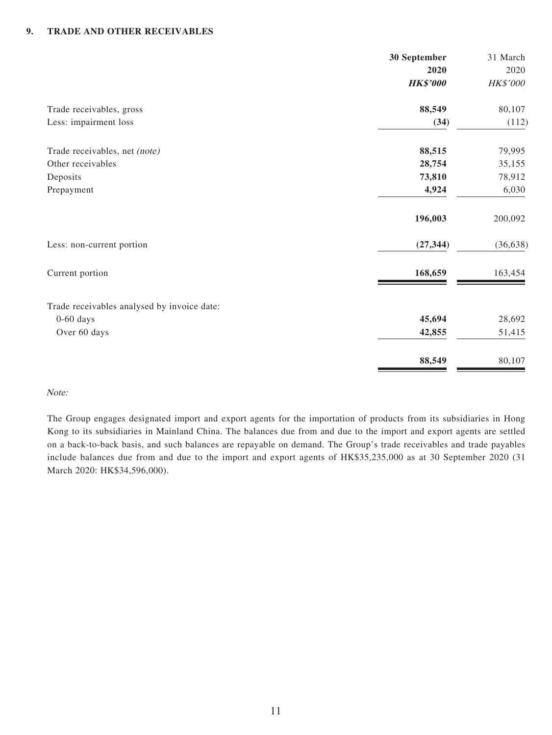#### **9. TRADE AND OTHER RECEIVABLES**

|                                             | 30 September    | 31 March  |
|---------------------------------------------|-----------------|-----------|
|                                             | 2020            | 2020      |
|                                             | <b>HK\$'000</b> | HK\$'000  |
| Trade receivables, gross                    | 88,549          | 80,107    |
| Less: impairment loss                       | (34)            | (112)     |
| Trade receivables, net (note)               | 88,515          | 79,995    |
| Other receivables                           | 28,754          | 35,155    |
| Deposits                                    | 73,810          | 78,912    |
| Prepayment                                  | 4,924           | 6,030     |
|                                             | 196,003         | 200,092   |
| Less: non-current portion                   | (27, 344)       | (36, 638) |
| Current portion                             | 168,659         | 163,454   |
| Trade receivables analysed by invoice date: |                 |           |
| $0-60$ days                                 | 45,694          | 28,692    |
| Over 60 days                                | 42,855          | 51,415    |
|                                             | 88,549          | 80,107    |

#### Note:

The Group engages designated import and export agents for the importation of products from its subsidiaries in Hong Kong to its subsidiaries in Mainland China. The balances due from and due to the import and export agents are settled on a back-to-back basis, and such balances are repayable on demand. The Group's trade receivables and trade payables include balances due from and due to the import and export agents of HK\$35,235,000 as at 30 September 2020 (31 March 2020: HK\$34,596,000).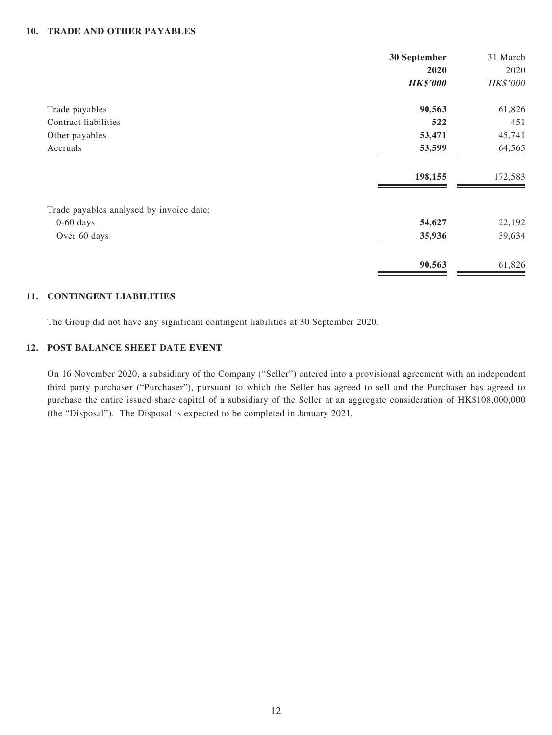#### **10. TRADE AND OTHER PAYABLES**

|                                          | 30 September    | 31 March |
|------------------------------------------|-----------------|----------|
|                                          | 2020            | 2020     |
|                                          | <b>HK\$'000</b> | HK\$'000 |
| Trade payables                           | 90,563          | 61,826   |
| Contract liabilities                     | 522             | 451      |
| Other payables                           | 53,471          | 45,741   |
| Accruals                                 | 53,599          | 64,565   |
|                                          | 198,155         | 172,583  |
| Trade payables analysed by invoice date: |                 |          |
| $0-60$ days                              | 54,627          | 22,192   |
| Over 60 days                             | 35,936          | 39,634   |
|                                          | 90,563          | 61,826   |

#### **11. CONTINGENT LIABILITIES**

The Group did not have any significant contingent liabilities at 30 September 2020.

#### **12. POST BALANCE SHEET DATE EVENT**

On 16 November 2020, a subsidiary of the Company ("Seller") entered into a provisional agreement with an independent third party purchaser ("Purchaser"), pursuant to which the Seller has agreed to sell and the Purchaser has agreed to purchase the entire issued share capital of a subsidiary of the Seller at an aggregate consideration of HK\$108,000,000 (the "Disposal"). The Disposal is expected to be completed in January 2021.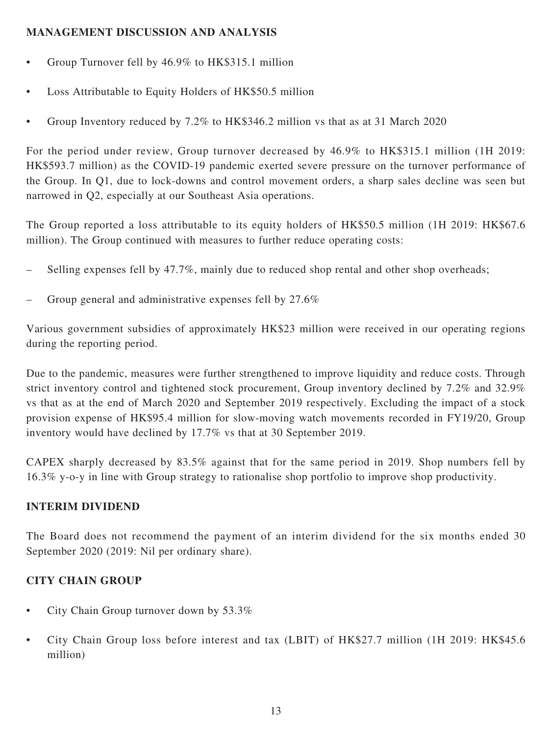## **MANAGEMENT DISCUSSION AND ANALYSIS**

- Group Turnover fell by 46.9% to HK\$315.1 million
- Loss Attributable to Equity Holders of HK\$50.5 million
- Group Inventory reduced by 7.2% to HK\$346.2 million vs that as at 31 March 2020

For the period under review, Group turnover decreased by 46.9% to HK\$315.1 million (1H 2019: HK\$593.7 million) as the COVID-19 pandemic exerted severe pressure on the turnover performance of the Group. In Q1, due to lock-downs and control movement orders, a sharp sales decline was seen but narrowed in Q2, especially at our Southeast Asia operations.

The Group reported a loss attributable to its equity holders of HK\$50.5 million (1H 2019: HK\$67.6 million). The Group continued with measures to further reduce operating costs:

- Selling expenses fell by 47.7%, mainly due to reduced shop rental and other shop overheads;
- Group general and administrative expenses fell by 27.6%

Various government subsidies of approximately HK\$23 million were received in our operating regions during the reporting period.

Due to the pandemic, measures were further strengthened to improve liquidity and reduce costs. Through strict inventory control and tightened stock procurement, Group inventory declined by 7.2% and 32.9% vs that as at the end of March 2020 and September 2019 respectively. Excluding the impact of a stock provision expense of HK\$95.4 million for slow-moving watch movements recorded in FY19/20, Group inventory would have declined by 17.7% vs that at 30 September 2019.

CAPEX sharply decreased by 83.5% against that for the same period in 2019. Shop numbers fell by 16.3% y-o-y in line with Group strategy to rationalise shop portfolio to improve shop productivity.

### **INTERIM DIVIDEND**

The Board does not recommend the payment of an interim dividend for the six months ended 30 September 2020 (2019: Nil per ordinary share).

# **CITY CHAIN GROUP**

- City Chain Group turnover down by 53.3%
- City Chain Group loss before interest and tax (LBIT) of HK\$27.7 million (1H 2019: HK\$45.6 million)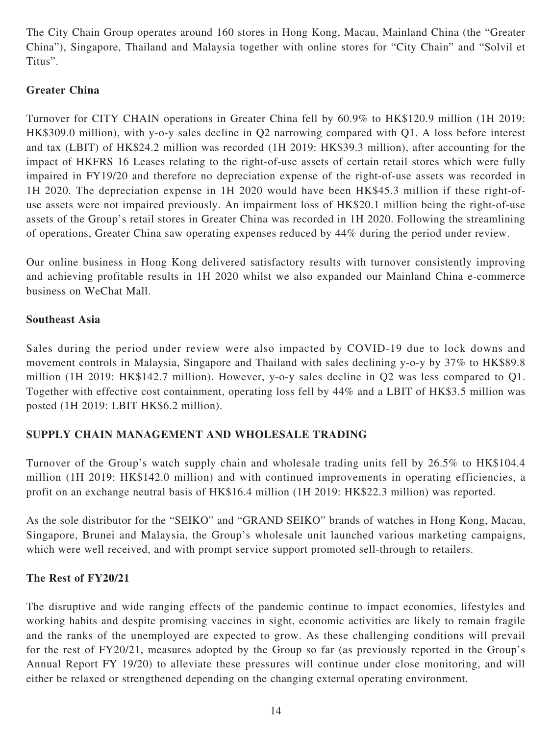The City Chain Group operates around 160 stores in Hong Kong, Macau, Mainland China (the "Greater China"), Singapore, Thailand and Malaysia together with online stores for "City Chain" and "Solvil et Titus".

# **Greater China**

Turnover for CITY CHAIN operations in Greater China fell by 60.9% to HK\$120.9 million (1H 2019: HK\$309.0 million), with y-o-y sales decline in Q2 narrowing compared with Q1. A loss before interest and tax (LBIT) of HK\$24.2 million was recorded (1H 2019: HK\$39.3 million), after accounting for the impact of HKFRS 16 Leases relating to the right-of-use assets of certain retail stores which were fully impaired in FY19/20 and therefore no depreciation expense of the right-of-use assets was recorded in 1H 2020. The depreciation expense in 1H 2020 would have been HK\$45.3 million if these right-ofuse assets were not impaired previously. An impairment loss of HK\$20.1 million being the right-of-use assets of the Group's retail stores in Greater China was recorded in 1H 2020. Following the streamlining of operations, Greater China saw operating expenses reduced by 44% during the period under review.

Our online business in Hong Kong delivered satisfactory results with turnover consistently improving and achieving profitable results in 1H 2020 whilst we also expanded our Mainland China e-commerce business on WeChat Mall.

## **Southeast Asia**

Sales during the period under review were also impacted by COVID-19 due to lock downs and movement controls in Malaysia, Singapore and Thailand with sales declining y-o-y by 37% to HK\$89.8 million (1H 2019: HK\$142.7 million). However, y-o-y sales decline in Q2 was less compared to Q1. Together with effective cost containment, operating loss fell by 44% and a LBIT of HK\$3.5 million was posted (1H 2019: LBIT HK\$6.2 million).

# **SUPPLY CHAIN MANAGEMENT AND WHOLESALE TRADING**

Turnover of the Group's watch supply chain and wholesale trading units fell by 26.5% to HK\$104.4 million (1H 2019: HK\$142.0 million) and with continued improvements in operating efficiencies, a profit on an exchange neutral basis of HK\$16.4 million (1H 2019: HK\$22.3 million) was reported.

As the sole distributor for the "SEIKO" and "GRAND SEIKO" brands of watches in Hong Kong, Macau, Singapore, Brunei and Malaysia, the Group's wholesale unit launched various marketing campaigns, which were well received, and with prompt service support promoted sell-through to retailers.

### **The Rest of FY20/21**

The disruptive and wide ranging effects of the pandemic continue to impact economies, lifestyles and working habits and despite promising vaccines in sight, economic activities are likely to remain fragile and the ranks of the unemployed are expected to grow. As these challenging conditions will prevail for the rest of FY20/21, measures adopted by the Group so far (as previously reported in the Group's Annual Report FY 19/20) to alleviate these pressures will continue under close monitoring, and will either be relaxed or strengthened depending on the changing external operating environment.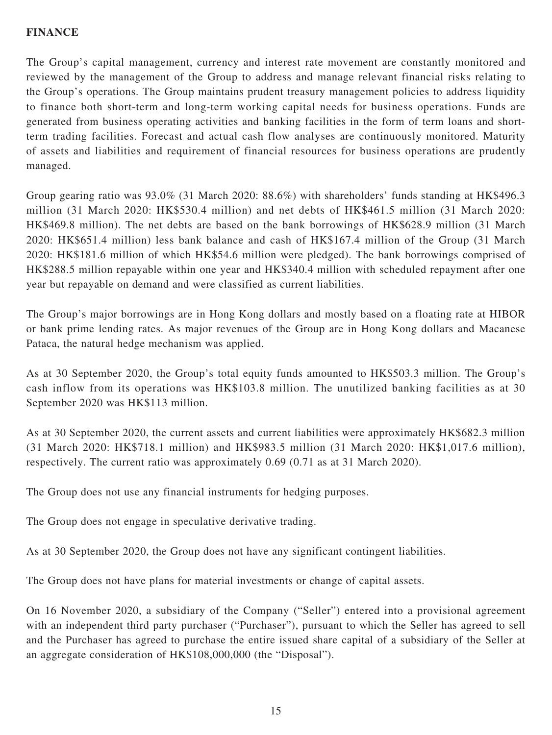## **FINANCE**

The Group's capital management, currency and interest rate movement are constantly monitored and reviewed by the management of the Group to address and manage relevant financial risks relating to the Group's operations. The Group maintains prudent treasury management policies to address liquidity to finance both short-term and long-term working capital needs for business operations. Funds are generated from business operating activities and banking facilities in the form of term loans and shortterm trading facilities. Forecast and actual cash flow analyses are continuously monitored. Maturity of assets and liabilities and requirement of financial resources for business operations are prudently managed.

Group gearing ratio was 93.0% (31 March 2020: 88.6%) with shareholders' funds standing at HK\$496.3 million (31 March 2020: HK\$530.4 million) and net debts of HK\$461.5 million (31 March 2020: HK\$469.8 million). The net debts are based on the bank borrowings of HK\$628.9 million (31 March 2020: HK\$651.4 million) less bank balance and cash of HK\$167.4 million of the Group (31 March 2020: HK\$181.6 million of which HK\$54.6 million were pledged). The bank borrowings comprised of HK\$288.5 million repayable within one year and HK\$340.4 million with scheduled repayment after one year but repayable on demand and were classified as current liabilities.

The Group's major borrowings are in Hong Kong dollars and mostly based on a floating rate at HIBOR or bank prime lending rates. As major revenues of the Group are in Hong Kong dollars and Macanese Pataca, the natural hedge mechanism was applied.

As at 30 September 2020, the Group's total equity funds amounted to HK\$503.3 million. The Group's cash inflow from its operations was HK\$103.8 million. The unutilized banking facilities as at 30 September 2020 was HK\$113 million.

As at 30 September 2020, the current assets and current liabilities were approximately HK\$682.3 million (31 March 2020: HK\$718.1 million) and HK\$983.5 million (31 March 2020: HK\$1,017.6 million), respectively. The current ratio was approximately 0.69 (0.71 as at 31 March 2020).

The Group does not use any financial instruments for hedging purposes.

The Group does not engage in speculative derivative trading.

As at 30 September 2020, the Group does not have any significant contingent liabilities.

The Group does not have plans for material investments or change of capital assets.

On 16 November 2020, a subsidiary of the Company ("Seller") entered into a provisional agreement with an independent third party purchaser ("Purchaser"), pursuant to which the Seller has agreed to sell and the Purchaser has agreed to purchase the entire issued share capital of a subsidiary of the Seller at an aggregate consideration of HK\$108,000,000 (the "Disposal").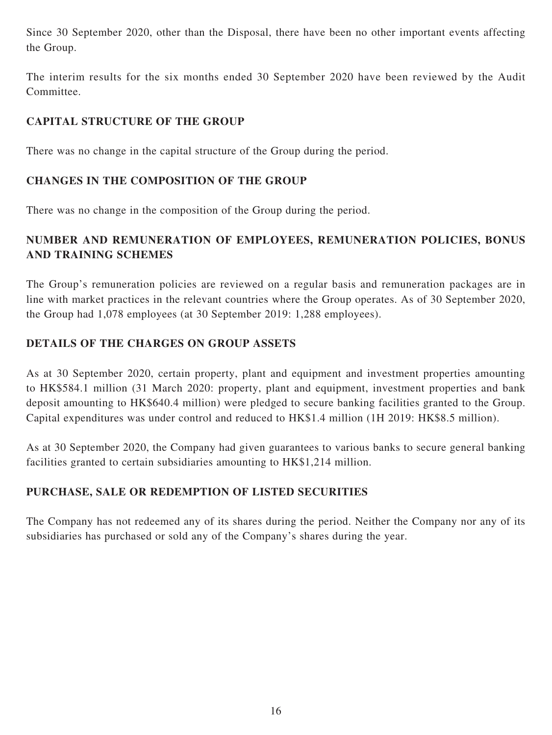Since 30 September 2020, other than the Disposal, there have been no other important events affecting the Group.

The interim results for the six months ended 30 September 2020 have been reviewed by the Audit Committee.

# **CAPITAL STRUCTURE OF THE GROUP**

There was no change in the capital structure of the Group during the period.

## **CHANGES IN THE COMPOSITION OF THE GROUP**

There was no change in the composition of the Group during the period.

# **NUMBER AND REMUNERATION OF EMPLOYEES, REMUNERATION POLICIES, BONUS AND TRAINING SCHEMES**

The Group's remuneration policies are reviewed on a regular basis and remuneration packages are in line with market practices in the relevant countries where the Group operates. As of 30 September 2020, the Group had 1,078 employees (at 30 September 2019: 1,288 employees).

## **DETAILS OF THE CHARGES ON GROUP ASSETS**

As at 30 September 2020, certain property, plant and equipment and investment properties amounting to HK\$584.1 million (31 March 2020: property, plant and equipment, investment properties and bank deposit amounting to HK\$640.4 million) were pledged to secure banking facilities granted to the Group. Capital expenditures was under control and reduced to HK\$1.4 million (1H 2019: HK\$8.5 million).

As at 30 September 2020, the Company had given guarantees to various banks to secure general banking facilities granted to certain subsidiaries amounting to HK\$1,214 million.

# **PURCHASE, SALE OR REDEMPTION OF LISTED SECURITIES**

The Company has not redeemed any of its shares during the period. Neither the Company nor any of its subsidiaries has purchased or sold any of the Company's shares during the year.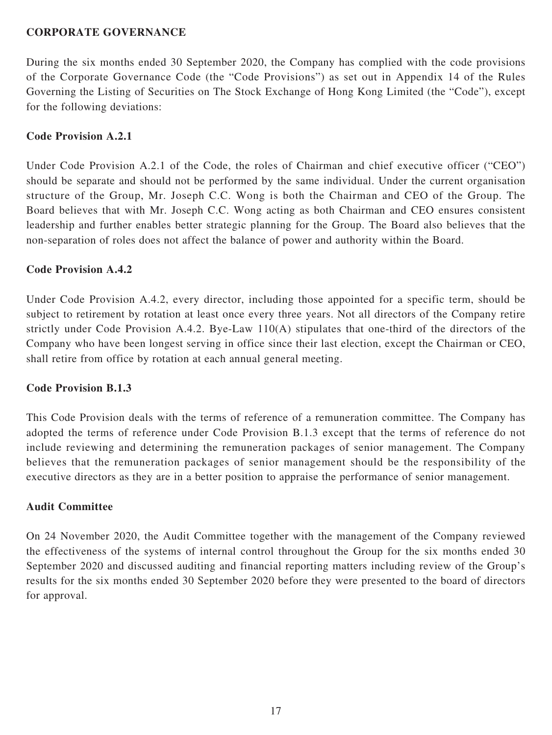### **CORPORATE GOVERNANCE**

During the six months ended 30 September 2020, the Company has complied with the code provisions of the Corporate Governance Code (the "Code Provisions") as set out in Appendix 14 of the Rules Governing the Listing of Securities on The Stock Exchange of Hong Kong Limited (the "Code"), except for the following deviations:

### **Code Provision A.2.1**

Under Code Provision A.2.1 of the Code, the roles of Chairman and chief executive officer ("CEO") should be separate and should not be performed by the same individual. Under the current organisation structure of the Group, Mr. Joseph C.C. Wong is both the Chairman and CEO of the Group. The Board believes that with Mr. Joseph C.C. Wong acting as both Chairman and CEO ensures consistent leadership and further enables better strategic planning for the Group. The Board also believes that the non-separation of roles does not affect the balance of power and authority within the Board.

### **Code Provision A.4.2**

Under Code Provision A.4.2, every director, including those appointed for a specific term, should be subject to retirement by rotation at least once every three years. Not all directors of the Company retire strictly under Code Provision A.4.2. Bye-Law 110(A) stipulates that one-third of the directors of the Company who have been longest serving in office since their last election, except the Chairman or CEO, shall retire from office by rotation at each annual general meeting.

### **Code Provision B.1.3**

This Code Provision deals with the terms of reference of a remuneration committee. The Company has adopted the terms of reference under Code Provision B.1.3 except that the terms of reference do not include reviewing and determining the remuneration packages of senior management. The Company believes that the remuneration packages of senior management should be the responsibility of the executive directors as they are in a better position to appraise the performance of senior management.

#### **Audit Committee**

On 24 November 2020, the Audit Committee together with the management of the Company reviewed the effectiveness of the systems of internal control throughout the Group for the six months ended 30 September 2020 and discussed auditing and financial reporting matters including review of the Group's results for the six months ended 30 September 2020 before they were presented to the board of directors for approval.